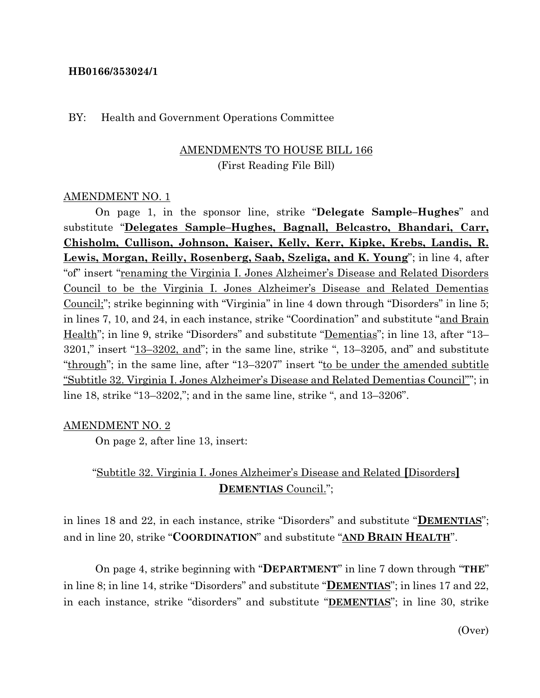#### **HB0166/353024/1**

#### BY: Health and Government Operations Committee

# AMENDMENTS TO HOUSE BILL 166 (First Reading File Bill)

#### AMENDMENT NO. 1

On page 1, in the sponsor line, strike "**Delegate Sample–Hughes**" and substitute "**Delegates Sample–Hughes, Bagnall, Belcastro, Bhandari, Carr, Chisholm, Cullison, Johnson, Kaiser, Kelly, Kerr, Kipke, Krebs, Landis, R. Lewis, Morgan, Reilly, Rosenberg, Saab, Szeliga, and K. Young**"; in line 4, after "of" insert "renaming the Virginia I. Jones Alzheimer's Disease and Related Disorders Council to be the Virginia I. Jones Alzheimer's Disease and Related Dementias Council;"; strike beginning with "Virginia" in line 4 down through "Disorders" in line 5; in lines 7, 10, and 24, in each instance, strike "Coordination" and substitute "and Brain Health"; in line 9, strike "Disorders" and substitute "Dementias"; in line 13, after "13- $3201$ ," insert " $13-3202$ , and"; in the same line, strike ",  $13-3205$ , and" and substitute "through"; in the same line, after "13–3207" insert "to be under the amended subtitle "Subtitle 32. Virginia I. Jones Alzheimer's Disease and Related Dementias Council""; in line 18, strike "13–3202,"; and in the same line, strike ", and 13–3206".

#### AMENDMENT NO. 2

On page 2, after line 13, insert:

# "Subtitle 32. Virginia I. Jones Alzheimer's Disease and Related **[**Disorders**] DEMENTIAS** Council.";

in lines 18 and 22, in each instance, strike "Disorders" and substitute "**DEMENTIAS**"; and in line 20, strike "**COORDINATION**" and substitute "**AND BRAIN HEALTH**".

On page 4, strike beginning with "**DEPARTMENT**" in line 7 down through "**THE**" in line 8; in line 14, strike "Disorders" and substitute "**DEMENTIAS**"; in lines 17 and 22, in each instance, strike "disorders" and substitute "**DEMENTIAS**"; in line 30, strike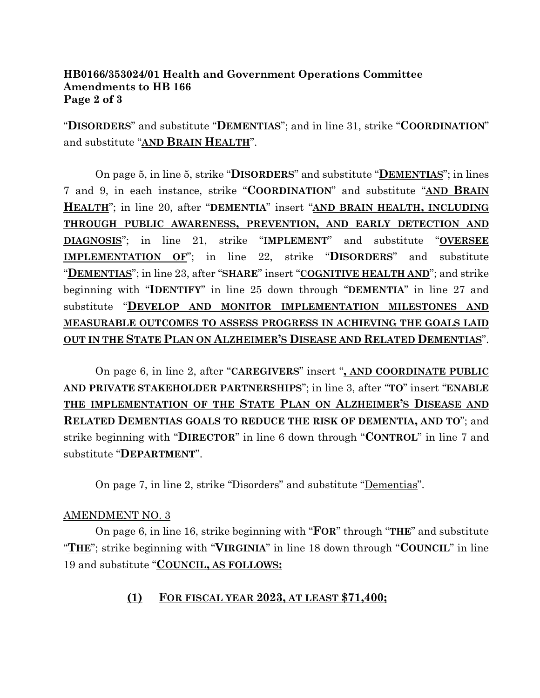### **HB0166/353024/01 Health and Government Operations Committee Amendments to HB 166 Page 2 of 3**

"**DISORDERS**" and substitute "**DEMENTIAS**"; and in line 31, strike "**COORDINATION**" and substitute "**AND BRAIN HEALTH**".

On page 5, in line 5, strike "**DISORDERS**" and substitute "**DEMENTIAS**"; in lines 7 and 9, in each instance, strike "**COORDINATION**" and substitute "**AND BRAIN HEALTH**"; in line 20, after "**DEMENTIA**" insert "**AND BRAIN HEALTH, INCLUDING THROUGH PUBLIC AWARENESS, PREVENTION, AND EARLY DETECTION AND DIAGNOSIS**"; in line 21, strike "**IMPLEMENT**" and substitute "**OVERSEE IMPLEMENTATION OF**"; in line 22, strike "**DISORDERS**" and substitute "**DEMENTIAS**"; in line 23, after "**SHARE**" insert "**COGNITIVE HEALTH AND**"; and strike beginning with "**IDENTIFY**" in line 25 down through "**DEMENTIA**" in line 27 and substitute "**DEVELOP AND MONITOR IMPLEMENTATION MILESTONES AND MEASURABLE OUTCOMES TO ASSESS PROGRESS IN ACHIEVING THE GOALS LAID OUT IN THE STATE PLAN ON ALZHEIMER'S DISEASE AND RELATED DEMENTIAS**".

On page 6, in line 2, after "**CAREGIVERS**" insert "**, AND COORDINATE PUBLIC AND PRIVATE STAKEHOLDER PARTNERSHIPS**"; in line 3, after "**TO**" insert "**ENABLE THE IMPLEMENTATION OF THE STATE PLAN ON ALZHEIMER'S DISEASE AND RELATED DEMENTIAS GOALS TO REDUCE THE RISK OF DEMENTIA, AND TO**"; and strike beginning with "**DIRECTOR**" in line 6 down through "**CONTROL**" in line 7 and substitute "**DEPARTMENT**".

On page 7, in line 2, strike "Disorders" and substitute "Dementias".

### AMENDMENT NO. 3

On page 6, in line 16, strike beginning with "**FOR**" through "**THE**" and substitute "**THE**"; strike beginning with "**VIRGINIA**" in line 18 down through "**COUNCIL**" in line 19 and substitute "**COUNCIL, AS FOLLOWS:**

## **(1) FOR FISCAL YEAR 2023, AT LEAST \$71,400;**